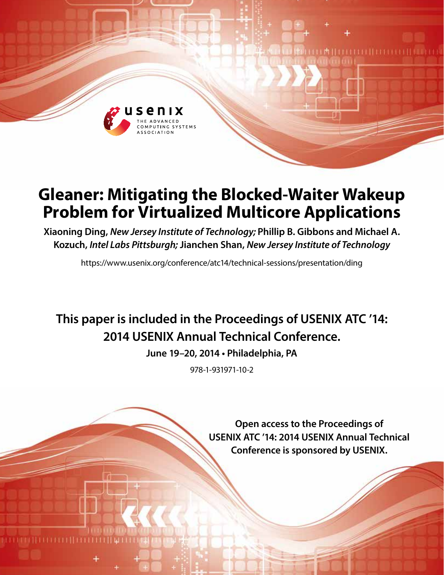

# **Gleaner: Mitigating the Blocked-Waiter Wakeup Problem for Virtualized Multicore Applications**

**Xiaoning Ding,** *New Jersey Institute of Technology;* **Phillip B. Gibbons and Michael A. Kozuch,** *Intel Labs Pittsburgh;* **Jianchen Shan,** *New Jersey Institute of Technology*

https://www.usenix.org/conference/atc14/technical-sessions/presentation/ding

## **This paper is included in the Proceedings of USENIX ATC '14: 2014 USENIX Annual Technical Conference.**

**June 19–20, 2014 • Philadelphia, PA**

978-1-931971-10-2

**Open access to the Proceedings of USENIX ATC '14: 2014 USENIX Annual Technical Conference is sponsored by USENIX.**

**TITTITITITITI** 

LM II I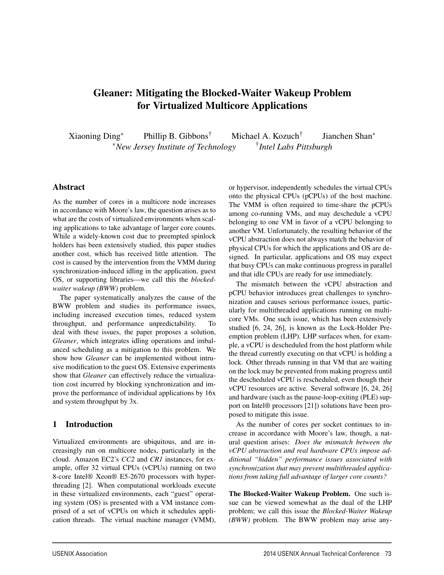### Gleaner: Mitigating the Blocked-Waiter Wakeup Problem for Virtualized Multicore Applications

Xiaoning Ding<sup>∗</sup> Phillip B. Gibbons† Michael A. Kozuch† Jianchen Shan<sup>∗</sup> <sup>∗</sup>*New Jersey Institute of Technology* †*Intel Labs Pittsburgh*

#### Abstract

As the number of cores in a multicore node increases in accordance with Moore's law, the question arises as to what are the costs of virtualized environments when scaling applications to take advantage of larger core counts. While a widely-known cost due to preempted spinlock holders has been extensively studied, this paper studies another cost, which has received little attention. The cost is caused by the intervention from the VMM during synchronization-induced idling in the application, guest OS, or supporting libraries—we call this the *blockedwaiter wakeup (BWW)* problem.

The paper systematically analyzes the cause of the BWW problem and studies its performance issues, including increased execution times, reduced system throughput, and performance unpredictability. To deal with these issues, the paper proposes a solution, *Gleaner*, which integrates idling operations and imbalanced scheduling as a mitigation to this problem. We show how *Gleaner* can be implemented without intrusive modification to the guest OS. Extensive experiments show that *Gleaner* can effectively reduce the virtualization cost incurred by blocking synchronization and improve the performance of individual applications by 16x and system throughput by 3x.

#### 1 Introduction

Virtualized environments are ubiquitous, and are increasingly run on multicore nodes, particularly in the cloud. Amazon EC2's *CC2* and *CR1* instances, for example, offer 32 virtual CPUs (vCPUs) running on two 8-core Intel® Xeon® E5-2670 processors with hyperthreading [2]. When computational workloads execute in these virtualized environments, each "guest" operating system (OS) is presented with a VM instance comprised of a set of vCPUs on which it schedules application threads. The virtual machine manager (VMM),

or hypervisor, independently schedules the virtual CPUs onto the physical CPUs (pCPUs) of the host machine. The VMM is often required to time-share the pCPUs among co-running VMs, and may deschedule a vCPU belonging to one VM in favor of a vCPU belonging to another VM. Unfortunately, the resulting behavior of the vCPU abstraction does not always match the behavior of physical CPUs for which the applications and OS are designed. In particular, applications and OS may expect that busy CPUs can make continuous progress in parallel and that idle CPUs are ready for use immediately.

The mismatch between the vCPU abstraction and pCPU behavior introduces great challenges to synchronization and causes serious performance issues, particularly for multithreaded applications running on multicore VMs. One such issue, which has been extensively studied [6, 24, 26], is known as the Lock-Holder Preemption problem (LHP). LHP surfaces when, for example, a vCPU is descheduled from the host platform while the thread currently executing on that vCPU is holding a lock. Other threads running in that VM that are waiting on the lock may be prevented from making progress until the descheduled vCPU is rescheduled, even though their vCPU resources are active. Several software [6, 24, 26] and hardware (such as the pause-loop-exiting (PLE) support on Intel® processors [21]) solutions have been proposed to mitigate this issue.

As the number of cores per socket continues to increase in accordance with Moore's law, though, a natural question arises: *Does the mismatch between the vCPU abstraction and real hardware CPUs impose additional "hidden" performance issues associated with synchronization that may prevent multithreaded applications from taking full advantage of larger core counts?*

The Blocked-Waiter Wakeup Problem. One such issue can be viewed somewhat as the dual of the LHP problem; we call this issue the *Blocked-Waiter Wakeup (BWW)* problem. The BWW problem may arise any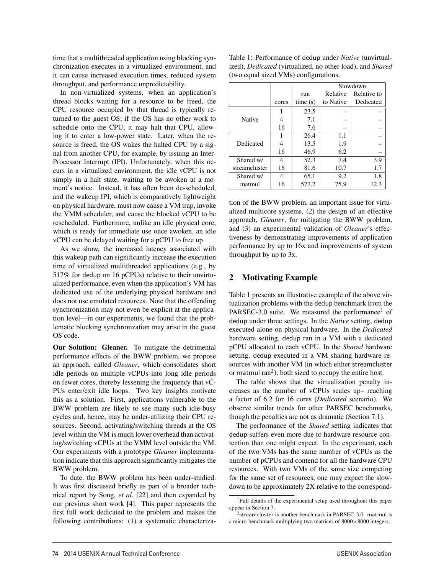time that a multithreaded application using blocking synchronization executes in a virtualized environment, and it can cause increased execution times, reduced system throughput, and performance unpredictability.

In non-virtualized systems, when an application's thread blocks waiting for a resource to be freed, the CPU resource occupied by that thread is typically returned to the guest OS; if the OS has no other work to schedule onto the CPU, it may halt that CPU, allowing it to enter a low-power state. Later, when the resource is freed, the OS wakes the halted CPU by a signal from another CPU, for example, by issuing an Inter-Processor Interrupt (IPI). Unfortunately, when this occurs in a virtualized environment, the idle vCPU is not simply in a halt state, waiting to be awoken at a moment's notice. Instead, it has often been de-scheduled, and the wakeup IPI, which is comparatively lightweight on physical hardware, must now cause a VM trap, invoke the VMM scheduler, and cause the blocked vCPU to be rescheduled. Furthermore, unlike an idle physical core, which is ready for immediate use once awoken, an idle vCPU can be delayed waiting for a pCPU to free up.

As we show, the increased latency associated with this wakeup path can significantly increase the execution time of virtualized multithreaded applications (e.g., by 517% for dedup on 16 pCPUs) relative to their unvirtualized performance, even when the application's VM has dedicated use of the underlying physical hardware and does not use emulated resources. Note that the offending synchronization may not even be explicit at the application level—in our experiments, we found that the problematic blocking synchronization may arise in the guest OS code.

Our Solution: Gleaner. To mitigate the detrimental performance effects of the BWW problem, we propose an approach, called *Gleaner*, which consolidates short idle periods on multiple vCPUs into long idle periods on fewer cores, thereby lessening the frequency that vC-PUs enter/exit idle loops. Two key insights motivate this as a solution. First, applications vulnerable to the BWW problem are likely to see many such idle-busy cycles and, hence, may be under-utilizing their CPU resources. Second, activating/switching threads at the OS level within the VM is much lower overhead than activating/switching vCPUs at the VMM level outside the VM. Our experiments with a prototype *Gleaner* implementation indicate that this approach significantly mitigates the BWW problem.

To date, the BWW problem has been under-studied. It was first discussed briefly as part of a broader technical report by Song, *et al.* [22] and then expanded by our previous short work [4]. This paper represents the first full work dedicated to the problem and makes the following contributions: (1) a systematic characteriza-

| Table 1: Performance of dedup under <i>Native</i> (unvirtual-           |
|-------------------------------------------------------------------------|
| ized), <i>Dedicated</i> (virtualized, no other load), and <i>Shared</i> |
| (two equal sized VMs) configurations.                                   |

|               |       |         | Slowdown  |             |
|---------------|-------|---------|-----------|-------------|
|               |       | run     | Relative  | Relative to |
|               | cores | time(s) | to Native | Dedicated   |
| Native        |       | 23.5    |           |             |
|               |       | 7.1     |           |             |
|               | 16    | 7.6     |           |             |
| Dedicated     |       | 26.4    | 1.1       |             |
|               |       | 13.5    | 1.9       |             |
|               | 16    | 46.9    | 6.2       |             |
| Shared w/     | 4     | 52.3    | 7.4       | 3.9         |
| streamcluster | 16    | 81.6    | 10.7      | 1.7         |
| Shared w/     | 4     | 65.1    | 9.2       | 4.8         |
| matmul        | 16    | 577.2   | 75.9      | 12.3        |

tion of the BWW problem, an important issue for virtualized multicore systems, (2) the design of an effective approach, *Gleaner*, for mitigating the BWW problem, and (3) an experimental validation of *Gleaner*'s effectiveness by demonstrating improvements of application performance by up to 16x and improvements of system throughput by up to 3x.

#### 2 Motivating Example

Table 1 presents an illustrative example of the above virtualization problems with the dedup benchmark from the PARSEC-3.0 suite. We measured the performance<sup>1</sup> of dedup under three settings. In the *Native* setting, dedup executed alone on physical hardware. In the *Dedicated* hardware setting, dedup ran in a VM with a dedicated pCPU allocated to each vCPU. In the *Shared* hardware setting, dedup executed in a VM sharing hardware resources with another VM (in which either streamcluster or matmul  $ran<sup>2</sup>$ ), both sized to occupy the entire host.

The table shows that the virtualization penalty increases as the number of vCPUs scales up– reaching a factor of 6.2 for 16 cores (*Dedicated* scenario). We observe similar trends for other PARSEC benchmarks, though the penalties are not as dramatic (Section 7.1).

The performance of the *Shared* setting indicates that dedup suffers even more due to hardware resource contention than one might expect. In the experiment, each of the two VMs has the same number of vCPUs as the number of pCPUs and contend for all the hardware CPU resources. With two VMs of the same size competing for the same set of resources, one may expect the slowdown to be approximately 2X relative to the correspond-

<sup>1</sup>Full details of the experimental setup used throughout this paper appear in Section 7.

<sup>&</sup>lt;sup>2</sup>streamcluster is another benchmark in PARSEC-3.0. matmul is a micro-benchmark multiplying two matrices of 8000×8000 integers.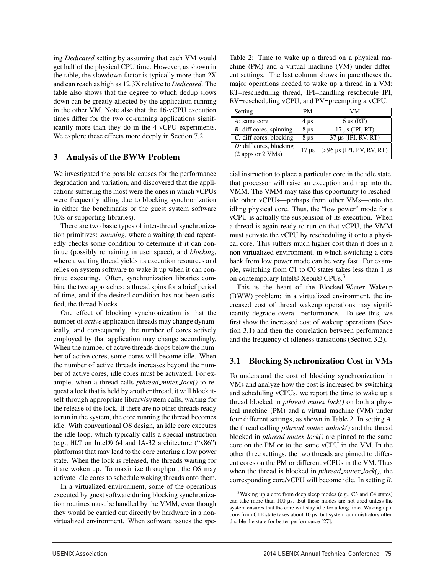ing *Dedicated* setting by assuming that each VM would get half of the physical CPU time. However, as shown in the table, the slowdown factor is typically more than 2X and can reach as high as 12.3X relative to *Dedicated*. The table also shows that the degree to which dedup slows down can be greatly affected by the application running in the other VM. Note also that the 16-vCPU execution times differ for the two co-running applications significantly more than they do in the 4-vCPU experiments. We explore these effects more deeply in Section 7.2.

#### 3 Analysis of the BWW Problem

We investigated the possible causes for the performance degradation and variation, and discovered that the applications suffering the most were the ones in which vCPUs were frequently idling due to blocking synchronization in either the benchmarks or the guest system software (OS or supporting libraries).

There are two basic types of inter-thread synchronization primitives: *spinning*, where a waiting thread repeatedly checks some condition to determine if it can continue (possibly remaining in user space), and *blocking*, where a waiting thread yields its execution resources and relies on system software to wake it up when it can continue executing. Often, synchronization libraries combine the two approaches: a thread spins for a brief period of time, and if the desired condition has not been satisfied, the thread blocks.

One effect of blocking synchronization is that the number of *active* application threads may change dynamically, and consequently, the number of cores actively employed by that application may change accordingly. When the number of active threads drops below the number of active cores, some cores will become idle. When the number of active threads increases beyond the number of active cores, idle cores must be activated. For example, when a thread calls *pthread mutex lock()* to request a lock that is held by another thread, it will block itself through appropriate library/system calls, waiting for the release of the lock. If there are no other threads ready to run in the system, the core running the thread becomes idle. With conventional OS design, an idle core executes the idle loop, which typically calls a special instruction (e.g., HLT on Intel® 64 and IA-32 architecture ("x86") platforms) that may lead to the core entering a low power state. When the lock is released, the threads waiting for it are woken up. To maximize throughput, the OS may activate idle cores to schedule waking threads onto them.

In a virtualized environment, some of the operations executed by guest software during blocking synchronization routines must be handled by the VMM, even though they would be carried out directly by hardware in a nonvirtualized environment. When software issues the spe-

Table 2: Time to wake up a thread on a physical machine (PM) and a virtual machine (VM) under different settings. The last column shows in parentheses the major operations needed to wake up a thread in a VM: RT=rescheduling thread, IPI=handling reschedule IPI, RV=rescheduling vCPU, and PV=preempting a vCPU.

| Setting                    | <b>PM</b>       | VМ                         |
|----------------------------|-----------------|----------------------------|
| A: same core               | $4 \mu s$       | $6 \mu s (RT)$             |
| $B$ : diff cores, spinning | 8 <sub>µs</sub> | $17 \mu s$ (IPI, RT)       |
| $C$ : diff cores, blocking | $8 \mu s$       | $37 \mu s$ (IPI, RV, RT)   |
| $D$ : diff cores, blocking | $17 \mu s$      | $>96$ µs (IPI, PV, RV, RT) |
| (2 apps or 2 VMs)          |                 |                            |

cial instruction to place a particular core in the idle state, that processor will raise an exception and trap into the VMM. The VMM may take this opportunity to reschedule other vCPUs—perhaps from other VMs—onto the idling physical core. Thus, the "low power" mode for a vCPU is actually the suspension of its execution. When a thread is again ready to run on that vCPU, the VMM must activate the vCPU by rescheduling it onto a physical core. This suffers much higher cost than it does in a non-virtualized environment, in which switching a core back from low power mode can be very fast. For example, switching from C1 to C0 states takes less than 1  $\mu$ s on contemporary Intel® Xeon® CPUs.<sup>3</sup>

This is the heart of the Blocked-Waiter Wakeup (BWW) problem: in a virtualized environment, the increased cost of thread wakeup operations may significantly degrade overall performance. To see this, we first show the increased cost of wakeup operations (Section 3.1) and then the correlation between performance and the frequency of idleness transitions (Section 3.2).

#### 3.1 Blocking Synchronization Cost in VMs

To understand the cost of blocking synchronization in VMs and analyze how the cost is increased by switching and scheduling vCPUs, we report the time to wake up a thread blocked in *pthread mutex lock()* on both a physical machine (PM) and a virtual machine (VM) under four different settings, as shown in Table 2. In setting *A*, the thread calling *pthread mutex unlock()* and the thread blocked in *pthread mutex lock()* are pinned to the same core on the PM or to the same vCPU in the VM. In the other three settings, the two threads are pinned to different cores on the PM or different vCPUs in the VM. Thus when the thread is blocked in *pthread mutex lock()*, the corresponding core/vCPU will become idle. In setting *B*,

<sup>&</sup>lt;sup>3</sup>Waking up a core from deep sleep modes (e.g., C3 and C4 states) can take more than 100 µs. But these modes are not used unless the system ensures that the core will stay idle for a long time. Waking up a core from C1E state takes about 10 µs, but system administrators often disable the state for better performance [27].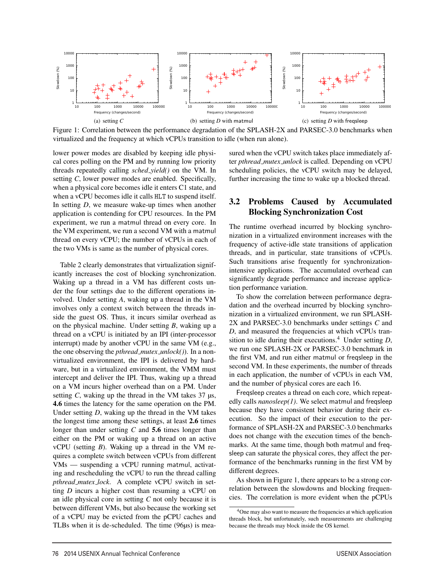

Figure 1: Correlation between the performance degradation of the SPLASH-2X and PARSEC-3.0 benchmarks when virtualized and the frequency at which vCPUs transition to idle (when run alone).

lower power modes are disabled by keeping idle physical cores polling on the PM and by running low priority threads repeatedly calling *sched yield()* on the VM. In setting *C*, lower power modes are enabled. Specifically, when a physical core becomes idle it enters C1 state, and when a vCPU becomes idle it calls HLT to suspend itself. In setting *D*, we measure wake-up times when another application is contending for CPU resources. In the PM experiment, we run a matmul thread on every core. In the VM experiment, we run a second VM with a matmul thread on every vCPU; the number of vCPUs in each of the two VMs is same as the number of physical cores.

Table 2 clearly demonstrates that virtualization significantly increases the cost of blocking synchronization. Waking up a thread in a VM has different costs under the four settings due to the different operations involved. Under setting *A*, waking up a thread in the VM involves only a context switch between the threads inside the guest OS. Thus, it incurs similar overhead as on the physical machine. Under setting *B*, waking up a thread on a vCPU is initiated by an IPI (inter-processor interrupt) made by another vCPU in the same VM (e.g., the one observing the *pthread mutex unlock()*). In a nonvirtualized environment, the IPI is delivered by hardware, but in a virtualized environment, the VMM must intercept and deliver the IPI. Thus, waking up a thread on a VM incurs higher overhead than on a PM. Under setting *C*, waking up the thread in the VM takes 37 µs, 4.6 times the latency for the same operation on the PM. Under setting *D*, waking up the thread in the VM takes the longest time among these settings, at least 2.6 times longer than under setting *C* and 5.6 times longer than either on the PM or waking up a thread on an active vCPU (setting *B*). Waking up a thread in the VM requires a complete switch between vCPUs from different VMs — suspending a vCPU running matmul, activating and rescheduling the vCPU to run the thread calling *pthread mutex lock*. A complete vCPU switch in setting *D* incurs a higher cost than resuming a vCPU on an idle physical core in setting *C* not only because it is between different VMs, but also because the working set of a vCPU may be evicted from the pCPU caches and TLBs when it is de-scheduled. The time (96µs) is measured when the vCPU switch takes place immediately after *pthread mutex unlock* is called. Depending on vCPU scheduling policies, the vCPU switch may be delayed, further increasing the time to wake up a blocked thread.

#### 3.2 Problems Caused by Accumulated Blocking Synchronization Cost

The runtime overhead incurred by blocking synchronization in a virtualized environment increases with the frequency of active-idle state transitions of application threads, and in particular, state transitions of vCPUs. Such transitions arise frequently for synchronizationintensive applications. The accumulated overhead can significantly degrade performance and increase application performance variation.

To show the correlation between performance degradation and the overhead incurred by blocking synchronization in a virtualized environment, we run SPLASH-2X and PARSEC-3.0 benchmarks under settings *C* and *D*, and measured the frequencies at which vCPUs transition to idle during their executions.<sup>4</sup> Under setting  $D$ , we run one SPLASH-2X or PARSEC-3.0 benchmark in the first VM, and run either matmul or freqsleep in the second VM. In these experiments, the number of threads in each application, the number of vCPUs in each VM, and the number of physical cores are each 16.

Freqsleep creates a thread on each core, which repeatedly calls *nanosleep(1)*. We select matmul and freqsleep because they have consistent behavior during their execution. So the impact of their execution to the performance of SPLASH-2X and PARSEC-3.0 benchmarks does not change with the execution times of the benchmarks. At the same time, though both matmul and freqsleep can saturate the physical cores, they affect the performance of the benchmarks running in the first VM by different degrees.

As shown in Figure 1, there appears to be a strong correlation between the slowdowns and blocking frequencies. The correlation is more evident when the pCPUs

<sup>&</sup>lt;sup>4</sup>One may also want to measure the frequencies at which application threads block, but unfortunately, such measurements are challenging because the threads may block inside the OS kernel.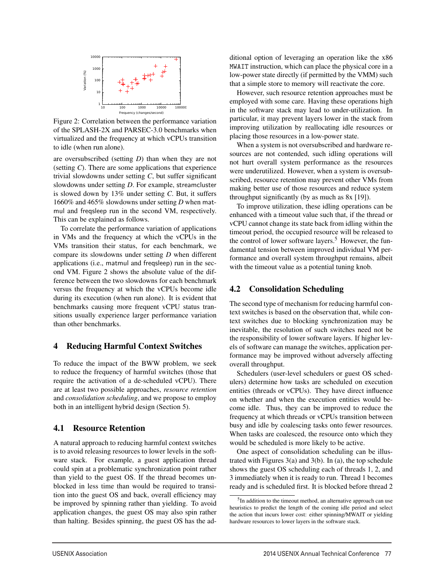

Figure 2: Correlation between the performance variation of the SPLASH-2X and PARSEC-3.0 benchmarks when virtualized and the frequency at which vCPUs transition to idle (when run alone).

are oversubscribed (setting *D*) than when they are not (setting *C*). There are some applications that experience trivial slowdowns under setting *C*, but suffer significant slowdowns under setting *D*. For example, streamcluster is slowed down by 13% under setting *C*. But, it suffers 1660% and 465% slowdowns under setting *D* when matmul and freqsleep run in the second VM, respectively. This can be explained as follows.

To correlate the performance variation of applications in VMs and the frequency at which the vCPUs in the VMs transition their status, for each benchmark, we compare its slowdowns under setting *D* when different applications (i.e., matmul and freqsleep) run in the second VM. Figure 2 shows the absolute value of the difference between the two slowdowns for each benchmark versus the frequency at which the vCPUs become idle during its execution (when run alone). It is evident that benchmarks causing more frequent vCPU status transitions usually experience larger performance variation than other benchmarks.

#### 4 Reducing Harmful Context Switches

To reduce the impact of the BWW problem, we seek to reduce the frequency of harmful switches (those that require the activation of a de-scheduled vCPU). There are at least two possible approaches, *resource retention* and *consolidation scheduling*, and we propose to employ both in an intelligent hybrid design (Section 5).

#### 4.1 Resource Retention

A natural approach to reducing harmful context switches is to avoid releasing resources to lower levels in the software stack. For example, a guest application thread could spin at a problematic synchronization point rather than yield to the guest OS. If the thread becomes unblocked in less time than would be required to transition into the guest OS and back, overall efficiency may be improved by spinning rather than yielding. To avoid application changes, the guest OS may also spin rather than halting. Besides spinning, the guest OS has the additional option of leveraging an operation like the x86 MWAIT instruction, which can place the physical core in a low-power state directly (if permitted by the VMM) such that a simple store to memory will reactivate the core.

However, such resource retention approaches must be employed with some care. Having these operations high in the software stack may lead to under-utilization. In particular, it may prevent layers lower in the stack from improving utilization by reallocating idle resources or placing those resources in a low-power state.

When a system is not oversubscribed and hardware resources are not contended, such idling operations will not hurt overall system performance as the resources were underutilized. However, when a system is oversubscribed, resource retention may prevent other VMs from making better use of those resources and reduce system throughput significantly (by as much as 8x [19]).

To improve utilization, these idling operations can be enhanced with a timeout value such that, if the thread or vCPU cannot change its state back from idling within the timeout period, the occupied resource will be released to the control of lower software layers.<sup>5</sup> However, the fundamental tension between improved individual VM performance and overall system throughput remains, albeit with the timeout value as a potential tuning knob.

#### 4.2 Consolidation Scheduling

The second type of mechanism for reducing harmful context switches is based on the observation that, while context switches due to blocking synchronization may be inevitable, the resolution of such switches need not be the responsibility of lower software layers. If higher levels of software can manage the switches, application performance may be improved without adversely affecting overall throughput.

Schedulers (user-level schedulers or guest OS schedulers) determine how tasks are scheduled on execution entities (threads or vCPUs). They have direct influence on whether and when the execution entities would become idle. Thus, they can be improved to reduce the frequency at which threads or vCPUs transition between busy and idle by coalescing tasks onto fewer resources. When tasks are coalesced, the resource onto which they would be scheduled is more likely to be active.

One aspect of consolidation scheduling can be illustrated with Figures 3(a) and 3(b). In (a), the top schedule shows the guest OS scheduling each of threads 1, 2, and 3 immediately when it is ready to run. Thread 1 becomes ready and is scheduled first. It is blocked before thread 2

<sup>5</sup>In addition to the timeout method, an alternative approach can use heuristics to predict the length of the coming idle period and select the action that incurs lower cost: either spinning/MWAIT or yielding hardware resources to lower layers in the software stack.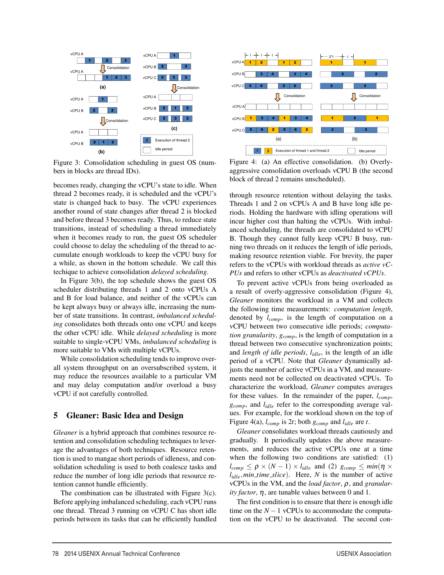

Figure 3: Consolidation scheduling in guest OS (numbers in blocks are thread IDs).

becomes ready, changing the vCPU's state to idle. When thread 2 becomes ready, it is scheduled and the vCPU's state is changed back to busy. The vCPU experiences another round of state changes after thread 2 is blocked and before thread 3 becomes ready. Thus, to reduce state transitions, instead of scheduling a thread immediately when it becomes ready to run, the guest OS scheduler could choose to delay the scheduling of the thread to accumulate enough workloads to keep the vCPU busy for a while, as shown in the bottom schedule. We call this techique to achieve consolidation *delayed scheduling*.

In Figure 3(b), the top schedule shows the guest OS scheduler distributing threads 1 and 2 onto vCPUs A and B for load balance, and neither of the vCPUs can be kept always busy or always idle, increasing the number of state transitions. In contrast, *imbalanced scheduling* consolidates both threads onto one vCPU and keeps the other vCPU idle. While *delayed scheduling* is more suitable to single-vCPU VMs, *imbalanced scheduling* is more suitable to VMs with multiple vCPUs.

While consolidation scheduling tends to improve overall system throughput on an oversubscribed system, it may reduce the resources available to a particular VM and may delay computation and/or overload a busy vCPU if not carefully controlled.

#### 5 Gleaner: Basic Idea and Design

*Gleaner* is a hybrid approach that combines resource retention and consolidation scheduling techniques to leverage the advantages of both techniques. Resource retention is used to mangae short periods of idleness, and consolidation scheduling is used to both coalesce tasks and reduce the number of long idle periods that resource retention cannot handle efficiently.

The combination can be illustrated with Figure 3(c). Before applying imbalanced scheduling, each vCPU runs one thread. Thread 3 running on vCPU C has short idle periods between its tasks that can be efficiently handled



Figure 4: (a) An effective consolidation. (b) Overlyaggressive consolidation overloads vCPU B (the second block of thread 2 remains unscheduled).

through resource retention without delaying the tasks. Threads 1 and 2 on vCPUs A and B have long idle periods. Holding the hardware with idling operations will incur higher cost than halting the vCPUs. With imbalanced scheduling, the threads are consolidated to vCPU B. Though they cannot fully keep vCPU B busy, running two threads on it reduces the length of idle periods, making resource retention viable. For brevity, the paper refers to the vCPUs with workload threads as *active vC-PUs* and refers to other vCPUs as *deactivated vCPUs*.

To prevent active vCPUs from being overloaded as a result of overly-aggressive consolidation (Figure 4), *Gleaner* monitors the workload in a VM and collects the following time measurements: *computation length*, denoted by *lcomp*, is the length of computation on a vCPU between two consecutive idle periods; *computation granularity*, *gcomp*, is the length of computation in a thread between two consecutive synchronization points; and *length of idle periods*, *lidle*, is the length of an idle period of a vCPU. Note that *Gleaner* dynamically adjusts the number of active vCPUs in a VM, and measurements need not be collected on deactivated vCPUs. To characterize the workload, *Gleaner* computes averages for these values. In the remainder of the paper, *lcomp*, *gcomp*, and *lidle* refer to the corresponding average values. For example, for the workload shown on the top of Figure 4(a), *lcomp* is 2*t*; both *gcomp* and *lidle* are *t*.

*Gleaner* consolidates workload threads cautiously and gradually. It periodically updates the above measurements, and reduces the active vCPUs one at a time when the following two conditions are satisfied: (1)  $l_{comp} \le \rho \times (N-1) \times l_{idle}$  and (2)  $g_{comp} \le min(\eta \times$ *lidle*,*min time slice*). Here, *N* is the number of active vCPUs in the VM, and the *load factor*, ρ, and *granularity factor*, η, are tunable values between 0 and 1.

The first condition is to ensure that there is enough idle time on the  $N - 1$  vCPUs to accommodate the computation on the vCPU to be deactivated. The second con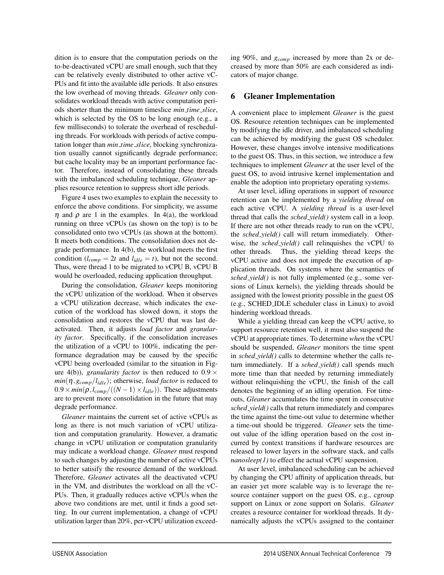dition is to ensure that the computation periods on the to-be-deactivated vCPU are small enough, such that they can be relatively evenly distributed to other active vC-PUs and fit into the available idle periods. It also ensures the low overhead of moving threads. *Gleaner* only consolidates workload threads with active computation periods shorter than the minimum timeslice *min time slice*, which is selected by the OS to be long enough (e.g., a few milliseconds) to tolerate the overhead of rescheduling threads. For workloads with periods of active computation longer than *min time slice*, blocking synchronization usually cannot significantly degrade performance; but cache locality may be an important performance factor. Therefore, instead of consolidating these threads with the imbalanced scheduling technique, *Gleaner* applies resource retention to suppress short idle periods.

Figure 4 uses two examples to explain the necessity to enforce the above conditions. For simplicity, we assume  $\eta$  and  $\rho$  are 1 in the examples. In 4(a), the workload running on three vCPUs (as shown on the top) is to be consolidated onto two vCPUs (as shown at the bottom). It meets both conditions. The consolidation does not degrade performance. In 4(b), the workload meets the first condition ( $l_{comp} = 2t$  and  $l_{idle} = t$ ), but not the second. Thus, were thread 1 to be migrated to vCPU B, vCPU B would be overloaded, reducing application throughput.

During the consolidation, *Gleaner* keeps monitoring the vCPU utilization of the workload. When it observes a vCPU utilization decrease, which indicates the execution of the workload has slowed down, it stops the consolidation and restores the vCPU that was last deactivated. Then, it adjusts *load factor* and *granularity factor*. Specifically, if the consolidation increases the utilization of a vCPU to 100%, indicating the performance degradation may be caused by the specific vCPU being overloaded (similar to the situation in Figure 4(b)), *granularity factor* is then reduced to  $0.9 \times$  $min(\eta, g_{comp}/l_{idle})$ ; otherwise, *load factor* is reduced to  $0.9 \times min(\rho, l_{comp}/((N-1) \times l_{idle}))$ . These adjustments are to prevent more consolidation in the future that may degrade performance.

*Gleaner* maintains the current set of active vCPUs as long as there is not much variation of vCPU utilization and computation granularity. However, a dramatic change in vCPU utilization or computation granularity may indicate a workload change. *Gleaner* must respond to such changes by adjusting the number of active vCPUs to better satisify the resource demand of the workload. Therefore, *Gleaner* activates all the deactivated vCPU in the VM, and distributes the workload on all the vC-PUs. Then, it gradually reduces active vCPUs when the above two conditions are met, until it finds a good setting. In our current implementation, a change of vCPU utilization larger than 20%, per-vCPU utilization exceeding 90%, and *gcomp* increased by more than 2x or decreased by more than 50% are each considered as indicators of major change.

#### 6 Gleaner Implementation

A convenient place to implement *Gleaner* is the guest OS. Resource retention techniques can be implemented by modifying the idle driver, and imbalanced scheduling can be achieved by modifying the guest OS scheduler. However, these changes involve intensive modifications to the guest OS. Thus, in this section, we introduce a few techniques to implement *Gleaner* at the user level of the guest OS, to avoid intrusive kernel implementation and enable the adoption into proprietary operating systems.

At user level, idling operations in support of resource retention can be implemented by a *yielding thread* on each active vCPU. A *yielding thread* is a user-level thread that calls the *sched yield()* system call in a loop. If there are not other threads ready to run on the vCPU, the *sched yield()* call will return immediately. Otherwise, the *sched yield()* call relinquishes the vCPU to other threads. Thus, the yielding thread keeps the vCPU active and does not impede the execution of application threads. On systems where the semantics of *sched yield()* is not fully implemented (e.g., some versions of Linux kernels), the yielding threads should be assigned with the lowest priority possible in the guest OS (e.g., SCHED IDLE scheduler class in Linux) to avoid hindering workload threads.

While a yielding thread can keep the vCPU active, to support resource retention well, it must also suspend the vCPU at appropriate times. To determine *when* the vCPU should be suspended, *Gleaner* monitors the time spent in *sched yield()* calls to determine whether the calls return immediately. If a *sched yield()* call spends much more time than that needed by returning immediately without relinquishing the vCPU, the finish of the call denotes the beginning of an idling operation. For timeouts, *Gleaner* accumulates the time spent in consecutive *sched yield()* calls that return immediately and compares the time against the time-out value to determine whether a time-out should be triggered. *Gleaner* sets the timeout value of the idling operation based on the cost incurred by context transitions if hardware resources are released to lower layers in the software stack, and calls *nanosleep(1)* to effect the actual vCPU suspension.

At user level, imbalanced scheduling can be achieved by changing the CPU affinity of application threads, but an easier yet more scalable way is to leverage the resource container support on the guest OS, e.g., cgroup support on Linux or zone support on Solaris. *Gleaner* creates a resource container for workload threads. It dynamically adjusts the vCPUs assigned to the container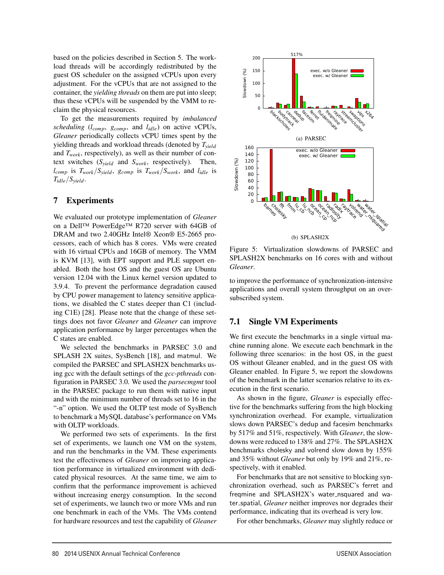based on the policies described in Section 5. The workload threads will be accordingly redistributed by the guest OS scheduler on the assigned vCPUs upon every adjustment. For the vCPUs that are not assigned to the container, the *yielding threads* on them are put into sleep; thus these vCPUs will be suspended by the VMM to reclaim the physical resources.

To get the measurements required by *imbalanced scheduling* (*lcomp*, *gcomp*, and *lidle*) on active vCPUs, *Gleaner* periodically collects vCPU times spent by the yielding threads and workload threads (denoted by *Tyield* and  $T_{work}$ , respectively), as well as their number of context switches (*Syield* and *Swork*, respectively). Then, *lcomp* is *Twork*/*Syield*, *gcomp* is *Twork*/*Swork*, and *lidle* is *Tidle*/*Syield*.

#### 7 Experiments

We evaluated our prototype implementation of *Gleaner* on a Dell™ PowerEdge™ R720 server with 64GB of DRAM and two 2.40GHz Intel® Xeon® E5-2665 processors, each of which has 8 cores. VMs were created with 16 virtual CPUs and 16GB of memory. The VMM is KVM [13], with EPT support and PLE support enabled. Both the host OS and the guest OS are Ubuntu version 12.04 with the Linux kernel version updated to 3.9.4. To prevent the performance degradation caused by CPU power management to latency sensitive applications, we disabled the C states deeper than C1 (including C1E) [28]. Please note that the change of these settings does not favor *Gleaner* and *Gleaner* can improve application performance by larger percentages when the C states are enabled.

We selected the benchmarks in PARSEC 3.0 and SPLASH 2X suites, SysBench [18], and matmul. We compiled the PARSEC and SPLASH2X benchmarks using gcc with the default settings of the *gcc-pthreads* configuration in PARSEC 3.0. We used the *parsecmgmt* tool in the PARSEC package to run them with native input and with the minimum number of threads set to 16 in the "-n" option. We used the OLTP test mode of SysBench to benchmark a MySQL database's performance on VMs with OLTP workloads.

We performed two sets of experiments. In the first set of experiments, we launch one VM on the system, and run the benchmarks in the VM. These experiments test the effectiveness of *Gleaner* on improving application performance in virtualized environment with dedicated physical resources. At the same time, we aim to confirm that the performance improvement is achieved without increasing energy consumption. In the second set of experiments, we launch two or more VMs and run one benchmark in each of the VMs. The VMs contend for hardware resources and test the capability of *Gleaner*



Figure 5: Virtualization slowdowns of PARSEC and SPLASH2X benchmarks on 16 cores with and without *Gleaner*.

to improve the performance of synchronization-intensive applications and overall system throughput on an oversubscribed system.

#### 7.1 Single VM Experiments

We first execute the benchmarks in a single virtual machine running alone. We execute each benchmark in the following three scenarios: in the host OS, in the guest OS without Gleaner enabled, and in the guest OS with Gleaner enabled. In Figure 5, we report the slowdowns of the benchmark in the latter scenarios relative to its execution in the first scenario.

As shown in the figure, *Gleaner* is especially effective for the benchmarks suffering from the high blocking synchronization overhead. For example, virtualization slows down PARSEC's dedup and facesim benchmarks by 517% and 51%, respectively. With *Gleaner*, the slowdowns were reduced to 138% and 27%. The SPLASH2X benchmarks cholesky and volrend slow down by 155% and 35% without *Gleaner* but only by 19% and 21%, respectively, with it enabled.

For benchmarks that are not sensitive to blocking synchronization overhead, such as PARSEC's ferret and freqmine and SPLASH2X's water\_nsquared and water spatial, *Gleaner* neither improves nor degrades their performance, indicating that its overhead is very low.

For other benchmarks, *Gleaner* may slightly reduce or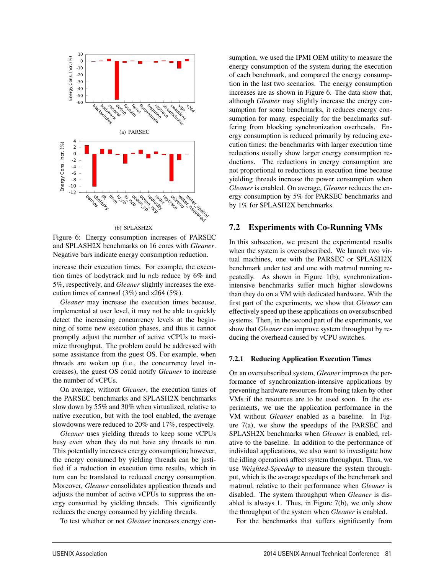

Figure 6: Energy consumption increases of PARSEC and SPLASH2X benchmarks on 16 cores with *Gleaner*. Negative bars indicate energy consumption reduction.

increase their execution times. For example, the execution times of bodytrack and lu ncb reduce by 6% and 5%, respectively, and *Gleaner* slightly increases the execution times of canneal (3%) and x264 (5%).

*Gleaner* may increase the execution times because, implemented at user level, it may not be able to quickly detect the increasing concurrency levels at the beginning of some new execution phases, and thus it cannot promptly adjust the number of active vCPUs to maximize throughput. The problem could be addressed with some assistance from the guest OS. For example, when threads are woken up (i.e., the concurrency level increases), the guest OS could notify *Gleaner* to increase the number of vCPUs.

On average, without *Gleaner*, the execution times of the PARSEC benchmarks and SPLASH2X benchmarks slow down by 55% and 30% when virtualized, relative to native execution, but with the tool enabled, the average slowdowns were reduced to 20% and 17%, respectively.

*Gleaner* uses yielding threads to keep some vCPUs busy even when they do not have any threads to run. This potentially increases energy consumption; however, the energy consumed by yielding threads can be justified if a reduction in execution time results, which in turn can be translated to reduced energy consumption. Moreover, *Gleaner* consolidates application threads and adjusts the number of active vCPUs to suppress the energy consumed by yielding threads. This significantly reduces the energy consumed by yielding threads.

To test whether or not *Gleaner* increases energy con-

sumption, we used the IPMI OEM utility to measure the energy consumption of the system during the execution of each benchmark, and compared the energy consumption in the last two scenarios. The energy consumption increases are as shown in Figure 6. The data show that, although *Gleaner* may slightly increase the energy consumption for some benchmarks, it reduces energy consumption for many, especially for the benchmarks suffering from blocking synchronization overheads. Energy consumption is reduced primarily by reducing execution times: the benchmarks with larger execution time reductions usually show larger energy consumption reductions. The reductions in energy consumption are not proportional to reductions in execution time because yielding threads increase the power consumption when *Gleaner* is enabled. On average, *Gleaner* reduces the energy consumption by 5% for PARSEC benchmarks and by 1% for SPLASH2X benchmarks.

#### 7.2 Experiments with Co-Running VMs

In this subsection, we present the experimental results when the system is oversubscribed. We launch two virtual machines, one with the PARSEC or SPLASH2X benchmark under test and one with matmul running repeatedly. As shown in Figure 1(b), synchronizationintensive benchmarks suffer much higher slowdowns than they do on a VM with dedicated hardware. With the first part of the experiments, we show that *Gleaner* can effectively speed up these applications on oversubscribed systems. Then, in the second part of the experiments, we show that *Gleaner* can improve system throughput by reducing the overhead caused by vCPU switches.

#### 7.2.1 Reducing Application Execution Times

On an oversubscribed system, *Gleaner* improves the performance of synchronization-intensive applications by preventing hardware resources from being taken by other VMs if the resources are to be used soon. In the experiments, we use the application performance in the VM without *Gleaner* enabled as a baseline. In Figure 7(a), we show the speedups of the PARSEC and SPLASH2X benchmarks when *Gleaner* is enabled, relative to the baseline. In addition to the performance of individual applications, we also want to investigate how the idling operations affect system throughput. Thus, we use *Weighted-Speedup* to measure the system throughput, which is the average speedups of the benchmark and matmul, relative to their performance when *Gleaner* is disabled. The system throughput when *Gleaner* is disabled is always 1. Thus, in Figure  $7(b)$ , we only show the throughput of the system when *Gleaner* is enabled.

For the benchmarks that suffers significantly from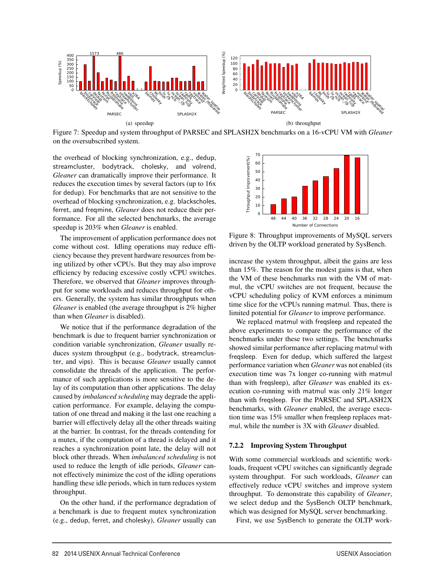

Figure 7: Speedup and system throughput of PARSEC and SPLASH2X benchmarks on a 16-vCPU VM with *Gleaner* on the oversubscribed system.

the overhead of blocking synchronization, e.g., dedup, streamcluster, bodytrack, cholesky, and volrend, *Gleaner* can dramatically improve their performance. It reduces the execution times by several factors (up to 16x for dedup). For benchmarks that are not sensitive to the overhead of blocking synchronization, e.g. blackscholes, ferret, and freqmine, *Gleaner* does not reduce their performance. For all the selected benchmarks, the average speedup is 203% when *Gleaner* is enabled.

The improvement of application performance does not come without cost. Idling operations may reduce efficiency because they prevent hardware resources from being utilized by other vCPUs. But they may also improve efficiency by reducing excessive costly vCPU switches. Therefore, we observed that *Gleaner* improves throughput for some workloads and reduces throughput for others. Generally, the system has similar throughputs when *Gleaner* is enabled (the average throughput is 2% higher than when *Gleaner* is disabled).

We notice that if the performance degradation of the benchmark is due to frequent barrier synchronization or condition variable synchronization, *Gleaner* usually reduces system throughput (e.g., bodytrack, streamcluster, and vips). This is because *Gleaner* usually cannot consolidate the threads of the application. The performance of such applications is more sensitive to the delay of its computation than other applications. The delay caused by *imbalanced scheduling* may degrade the application performance. For example, delaying the computation of one thread and making it the last one reaching a barrier will effectively delay all the other threads waiting at the barrier. In contrast, for the threads contending for a mutex, if the computation of a thread is delayed and it reaches a synchronization point late, the delay will not block other threads. When *imbalanced scheduling* is not used to reduce the length of idle periods, *Gleaner* cannot effectively minimize the cost of the idling operations handling these idle periods, which in turn reduces system throughput.

On the other hand, if the performance degradation of a benchmark is due to frequent mutex synchronization (e.g., dedup, ferret, and cholesky), *Gleaner* usually can



Figure 8: Throughput improvements of MySQL servers driven by the OLTP workload generated by SysBench.

increase the system throughput, albeit the gains are less than 15%. The reason for the modest gains is that, when the VM of these benchmarks run with the VM of matmul, the vCPU switches are not frequent, because the vCPU scheduling policy of KVM enforces a minimum time slice for the vCPUs running matmul. Thus, there is limited potential for *Gleaner* to improve performance.

We replaced matmul with freqsleep and repeated the above experiments to compare the performance of the benchmarks under these two settings. The benchmarks showed similar performance after replacing matmul with freqsleep. Even for dedup, which suffered the largest performance variation when *Gleaner* was not enabled (its execution time was 7x longer co-running with matmul than with freqsleep), after *Gleaner* was enabled its execution co-running with matmul was only 21% longer than with freqsleep. For the PARSEC and SPLASH2X benchmarks, with *Gleaner* enabled, the average execution time was 15% smaller when freqsleep replaces matmul, while the number is 3X with *Gleaner* disabled.

#### 7.2.2 Improving System Throughput

With some commercial workloads and scientific workloads, frequent vCPU switches can significantly degrade system throughput. For such workloads, *Gleaner* can effectively reduce vCPU switches and improve system throughput. To demonstrate this capability of *Gleaner*, we select dedup and the SysBench OLTP benchmark, which was designed for MySQL server benchmarking.

First, we use SysBench to generate the OLTP work-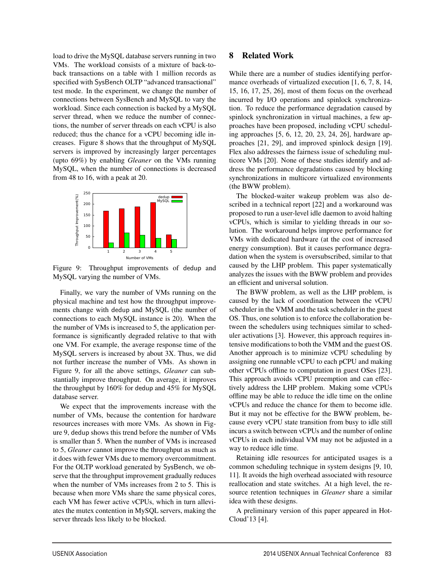load to drive the MySQL database servers running in two VMs. The workload consists of a mixture of back-toback transactions on a table with 1 million records as specified with SysBench OLTP "advanced transactional" test mode. In the experiment, we change the number of connections between SysBench and MySQL to vary the workload. Since each connection is backed by a MySQL server thread, when we reduce the number of connections, the number of server threads on each vCPU is also reduced; thus the chance for a vCPU becoming idle increases. Figure 8 shows that the throughput of MySQL servers is improved by increasingly larger percentages (upto 69%) by enabling *Gleaner* on the VMs running MySQL, when the number of connections is decreased from 48 to 16, with a peak at 20.



Figure 9: Throughput improvements of dedup and MySQL varying the number of VMs.

Finally, we vary the number of VMs running on the physical machine and test how the throughput improvements change with dedup and MySQL (the number of connections to each MySQL instance is 20). When the the number of VMs is increased to 5, the application performance is significantly degraded relative to that with one VM. For example, the average response time of the MySQL servers is increased by about 3X. Thus, we did not further increase the number of VMs. As shown in Figure 9, for all the above settings, *Gleaner* can substantially improve throughput. On average, it improves the throughput by 160% for dedup and 45% for MySQL database server.

We expect that the improvements increase with the number of VMs, because the contention for hardware resources increases with more VMs. As shown in Figure 9, dedup shows this trend before the number of VMs is smaller than 5. When the number of VMs is increased to 5, *Gleaner* cannot improve the throughput as much as it does with fewer VMs due to memory overcommitment. For the OLTP workload generated by SysBench, we observe that the throughput improvement gradually reduces when the number of VMs increases from 2 to 5. This is because when more VMs share the same physical cores, each VM has fewer active vCPUs, which in turn alleviates the mutex contention in MySQL servers, making the server threads less likely to be blocked.

#### 8 Related Work

While there are a number of studies identifying performance overheads of virtualized execution [1, 6, 7, 8, 14, 15, 16, 17, 25, 26], most of them focus on the overhead incurred by I/O operations and spinlock synchronization. To reduce the performance degradation caused by spinlock synchronization in virtual machines, a few approaches have been proposed, including vCPU scheduling approaches [5, 6, 12, 20, 23, 24, 26], hardware approaches [21, 29], and improved spinlock design [19]. Flex also addresses the fairness issue of scheduling multicore VMs [20]. None of these studies identify and address the performance degradations caused by blocking synchronizations in multicore virtualized environments (the BWW problem).

The blocked-waiter wakeup problem was also described in a technical report [22] and a workaround was proposed to run a user-level idle daemon to avoid halting vCPUs, which is similar to yielding threads in our solution. The workaround helps improve performance for VMs with dedicated hardware (at the cost of increased energy consumption). But it causes performance degradation when the system is oversubscribed, similar to that caused by the LHP problem. This paper systematically analyzes the issues with the BWW problem and provides an efficient and universal solution.

The BWW problem, as well as the LHP problem, is caused by the lack of coordination between the vCPU scheduler in the VMM and the task scheduler in the guest OS. Thus, one solution is to enforce the collaboration between the schedulers using techniques similar to scheduler activations [3]. However, this approach requires intensive modifications to both the VMM and the guest OS. Another approach is to minimize vCPU scheduling by assigning one runnable vCPU to each pCPU and making other vCPUs offline to computation in guest OSes [23]. This approach avoids vCPU preemption and can effectively address the LHP problem. Making some vCPUs offline may be able to reduce the idle time on the online vCPUs and reduce the chance for them to become idle. But it may not be effective for the BWW problem, because every vCPU state transition from busy to idle still incurs a switch between vCPUs and the number of online vCPUs in each individual VM may not be adjusted in a way to reduce idle time.

Retaining idle resources for anticipated usages is a common scheduling technique in system designs [9, 10, 11]. It avoids the high overhead associated with resource reallocation and state switches. At a high level, the resource retention techniques in *Gleaner* share a similar idea with these designs.

A preliminary version of this paper appeared in Hot-Cloud'13 [4].